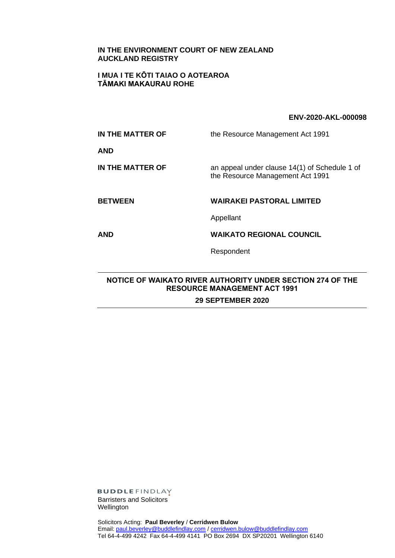## **IN THE ENVIRONMENT COURT OF NEW ZEALAND AUCKLAND REGISTRY**

## **I MUA I TE KŌTI TAIAO O AOTEAROA TĀMAKI MAKAURAU ROHE**

## **ENV-2020-AKL-000098**

| IN THE MATTER OF | the Resource Management Act 1991                                                  |
|------------------|-----------------------------------------------------------------------------------|
| <b>AND</b>       |                                                                                   |
| IN THE MATTER OF | an appeal under clause 14(1) of Schedule 1 of<br>the Resource Management Act 1991 |
|                  |                                                                                   |
| <b>BETWEEN</b>   | <b>WAIRAKEI PASTORAL LIMITED</b>                                                  |
|                  | Appellant                                                                         |
| <b>AND</b>       | <b>WAIKATO REGIONAL COUNCIL</b>                                                   |

## **NOTICE OF WAIKATO RIVER AUTHORITY UNDER SECTION 274 OF THE RESOURCE MANAGEMENT ACT 1991 29 SEPTEMBER 2020**

Respondent

**BUDDLEFINDLAY** Barristers and Solicitors Wellington

Solicitors Acting: **Paul Beverley** / **Cerridwen Bulow** Email: [paul.beverley@buddlefindlay.com](mailto:paul.beverley@buddlefindlay.com) [/ cerridwen.bulow@buddlefindlay.com](mailto:cerridwen.bulow@buddlefindlay.com) Tel 64-4-499 4242 Fax 64-4-499 4141 PO Box 2694 DX SP20201 Wellington 6140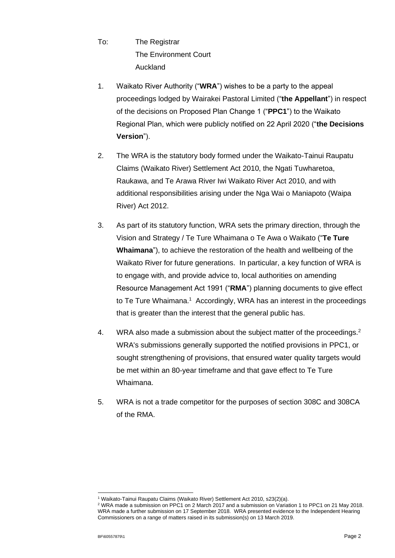- To: The Registrar The Environment Court Auckland
- 1. Waikato River Authority ("**WRA**") wishes to be a party to the appeal proceedings lodged by Wairakei Pastoral Limited ("**the Appellant**") in respect of the decisions on Proposed Plan Change 1 ("**PPC1**") to the Waikato Regional Plan, which were publicly notified on 22 April 2020 ("**the Decisions Version**").
- 2. The WRA is the statutory body formed under the Waikato-Tainui Raupatu Claims (Waikato River) Settlement Act 2010, the Ngati Tuwharetoa, Raukawa, and Te Arawa River Iwi Waikato River Act 2010, and with additional responsibilities arising under the Nga Wai o Maniapoto (Waipa River) Act 2012.
- 3. As part of its statutory function, WRA sets the primary direction, through the Vision and Strategy / Te Ture Whaimana o Te Awa o Waikato ("**Te Ture Whaimana**"), to achieve the restoration of the health and wellbeing of the Waikato River for future generations. In particular, a key function of WRA is to engage with, and provide advice to, local authorities on amending Resource Management Act 1991 ("**RMA**") planning documents to give effect to Te Ture Whaimana. <sup>1</sup> Accordingly, WRA has an interest in the proceedings that is greater than the interest that the general public has.
- 4. WRA also made a submission about the subject matter of the proceedings. $2$ WRA's submissions generally supported the notified provisions in PPC1, or sought strengthening of provisions, that ensured water quality targets would be met within an 80-year timeframe and that gave effect to Te Ture Whaimana.
- 5. WRA is not a trade competitor for the purposes of section 308C and 308CA of the RMA.

<sup>1</sup> Waikato-Tainui Raupatu Claims (Waikato River) Settlement Act 2010, s23(2)(a).

<sup>2</sup> WRA made a submission on PPC1 on 2 March 2017 and a submission on Variation 1 to PPC1 on 21 May 2018. WRA made a further submission on 17 September 2018. WRA presented evidence to the Independent Hearing Commissioners on a range of matters raised in its submission(s) on 13 March 2019.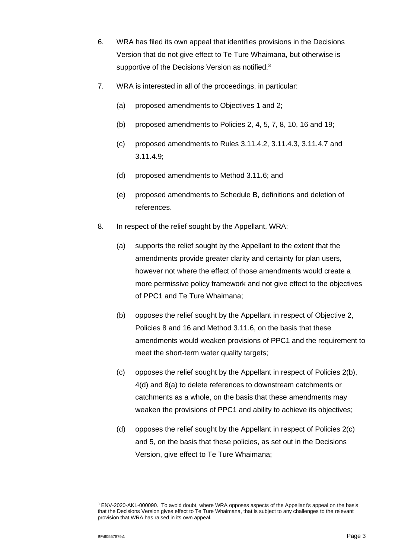- 6. WRA has filed its own appeal that identifies provisions in the Decisions Version that do not give effect to Te Ture Whaimana, but otherwise is supportive of the Decisions Version as notified.<sup>3</sup>
- 7. WRA is interested in all of the proceedings, in particular:
	- (a) proposed amendments to Objectives 1 and 2;
	- (b) proposed amendments to Policies 2, 4, 5, 7, 8, 10, 16 and 19;
	- (c) proposed amendments to Rules 3.11.4.2, 3.11.4.3, 3.11.4.7 and 3.11.4.9;
	- (d) proposed amendments to Method 3.11.6; and
	- (e) proposed amendments to Schedule B, definitions and deletion of references.
- 8. In respect of the relief sought by the Appellant, WRA:
	- (a) supports the relief sought by the Appellant to the extent that the amendments provide greater clarity and certainty for plan users, however not where the effect of those amendments would create a more permissive policy framework and not give effect to the objectives of PPC1 and Te Ture Whaimana;
	- (b) opposes the relief sought by the Appellant in respect of Objective 2, Policies 8 and 16 and Method 3.11.6, on the basis that these amendments would weaken provisions of PPC1 and the requirement to meet the short-term water quality targets;
	- (c) opposes the relief sought by the Appellant in respect of Policies 2(b), 4(d) and 8(a) to delete references to downstream catchments or catchments as a whole, on the basis that these amendments may weaken the provisions of PPC1 and ability to achieve its objectives;
	- (d) opposes the relief sought by the Appellant in respect of Policies 2(c) and 5, on the basis that these policies, as set out in the Decisions Version, give effect to Te Ture Whaimana;

<sup>3</sup> ENV-2020-AKL-000090. To avoid doubt, where WRA opposes aspects of the Appellant's appeal on the basis that the Decisions Version gives effect to Te Ture Whaimana, that is subject to any challenges to the relevant provision that WRA has raised in its own appeal.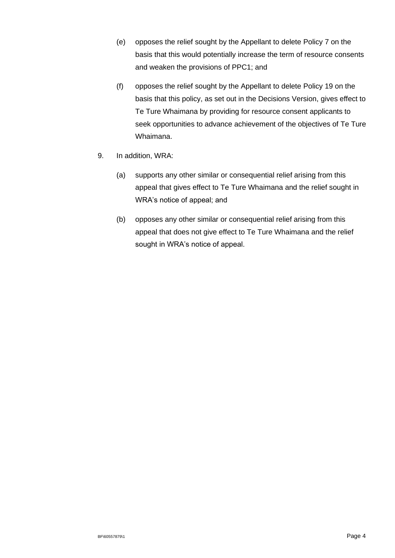- (e) opposes the relief sought by the Appellant to delete Policy 7 on the basis that this would potentially increase the term of resource consents and weaken the provisions of PPC1; and
- (f) opposes the relief sought by the Appellant to delete Policy 19 on the basis that this policy, as set out in the Decisions Version, gives effect to Te Ture Whaimana by providing for resource consent applicants to seek opportunities to advance achievement of the objectives of Te Ture Whaimana.
- 9. In addition, WRA:
	- (a) supports any other similar or consequential relief arising from this appeal that gives effect to Te Ture Whaimana and the relief sought in WRA's notice of appeal; and
	- (b) opposes any other similar or consequential relief arising from this appeal that does not give effect to Te Ture Whaimana and the relief sought in WRA's notice of appeal.